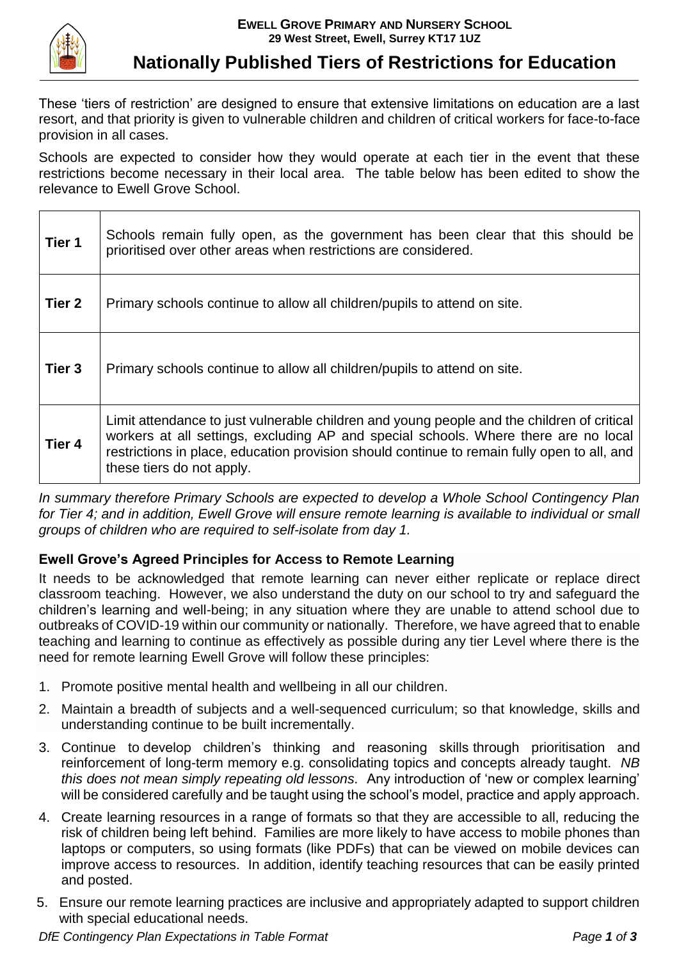

 $\blacksquare$ 

## **Nationally Published Tiers of Restrictions for Education**

These 'tiers of restriction' are designed to ensure that extensive limitations on education are a last resort, and that priority is given to vulnerable children and children of critical workers for face-to-face provision in all cases.

Schools are expected to consider how they would operate at each tier in the event that these restrictions become necessary in their local area. The table below has been edited to show the relevance to Ewell Grove School.

| Tier 1            | Schools remain fully open, as the government has been clear that this should be<br>prioritised over other areas when restrictions are considered.                                                                                                                                                             |
|-------------------|---------------------------------------------------------------------------------------------------------------------------------------------------------------------------------------------------------------------------------------------------------------------------------------------------------------|
| Tier <sub>2</sub> | Primary schools continue to allow all children/pupils to attend on site.                                                                                                                                                                                                                                      |
| Tier <sub>3</sub> | Primary schools continue to allow all children/pupils to attend on site.                                                                                                                                                                                                                                      |
| Tier 4            | Limit attendance to just vulnerable children and young people and the children of critical<br>workers at all settings, excluding AP and special schools. Where there are no local<br>restrictions in place, education provision should continue to remain fully open to all, and<br>these tiers do not apply. |

*In summary therefore Primary Schools are expected to develop a Whole School Contingency Plan*  for Tier 4; and in addition, Ewell Grove will ensure remote learning is available to individual or small *groups of children who are required to self-isolate from day 1.*

## **Ewell Grove's Agreed Principles for Access to Remote Learning**

It needs to be acknowledged that remote learning can never either replicate or replace direct classroom teaching. However, we also understand the duty on our school to try and safeguard the children's learning and well-being; in any situation where they are unable to attend school due to outbreaks of COVID-19 within our community or nationally. Therefore, we have agreed that to enable teaching and learning to continue as effectively as possible during any tier Level where there is the need for remote learning Ewell Grove will follow these principles:

- 1. Promote positive mental health and wellbeing in all our children.
- 2. Maintain a breadth of subjects and a well-sequenced curriculum; so that knowledge, skills and understanding continue to be built incrementally.
- 3. Continue to develop children's thinking and reasoning skills through prioritisation and reinforcement of long-term memory e.g. consolidating topics and concepts already taught. *NB this does not mean simply repeating old lessons.* Any introduction of 'new or complex learning' will be considered carefully and be taught using the school's model, practice and apply approach.
- 4. Create learning resources in a range of formats so that they are accessible to all, reducing the risk of children being left behind. Families are more likely to have access to mobile phones than laptops or computers, so using formats (like PDFs) that can be viewed on mobile devices can improve access to resources. In addition, identify teaching resources that can be easily printed and posted.
- 5. Ensure our remote learning practices are inclusive and appropriately adapted to support children with special educational needs.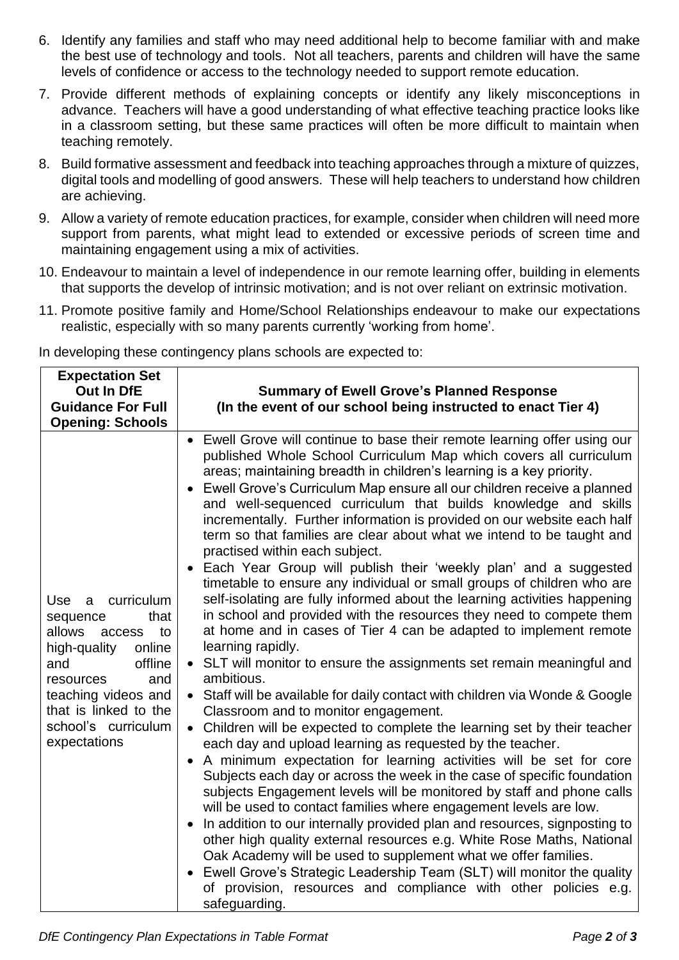- 6. Identify any families and staff who may need additional help to become familiar with and make the best use of technology and tools. Not all teachers, parents and children will have the same levels of confidence or access to the technology needed to support remote education.
- 7. Provide different methods of explaining concepts or identify any likely misconceptions in advance. Teachers will have a good understanding of what effective teaching practice looks like in a classroom setting, but these same practices will often be more difficult to maintain when teaching remotely.
- 8. Build formative assessment and feedback into teaching approaches through a mixture of quizzes, digital tools and modelling of good answers. These will help teachers to understand how children are achieving.
- 9. Allow a variety of remote education practices, for example, consider when children will need more support from parents, what might lead to extended or excessive periods of screen time and maintaining engagement using a mix of activities.
- 10. Endeavour to maintain a level of independence in our remote learning offer, building in elements that supports the develop of intrinsic motivation; and is not over reliant on extrinsic motivation.
- 11. Promote positive family and Home/School Relationships endeavour to make our expectations realistic, especially with so many parents currently 'working from home'.

In developing these contingency plans schools are expected to:

| <b>Expectation Set</b><br>Out In DfE<br><b>Guidance For Full</b><br><b>Opening: Schools</b>                                                                                                                                        | <b>Summary of Ewell Grove's Planned Response</b><br>(In the event of our school being instructed to enact Tier 4)                                                                                                                                                                                                                                                                                                                                                                                                                                                                                                                                                                                                                                                                                                                                                                                                                                                                                                                                                                                                                                                                                                                                                                                                                                                                                                                                                                                                                                                                                                                                                                                                                                                                                                                                                                                                                                                                                                                      |
|------------------------------------------------------------------------------------------------------------------------------------------------------------------------------------------------------------------------------------|----------------------------------------------------------------------------------------------------------------------------------------------------------------------------------------------------------------------------------------------------------------------------------------------------------------------------------------------------------------------------------------------------------------------------------------------------------------------------------------------------------------------------------------------------------------------------------------------------------------------------------------------------------------------------------------------------------------------------------------------------------------------------------------------------------------------------------------------------------------------------------------------------------------------------------------------------------------------------------------------------------------------------------------------------------------------------------------------------------------------------------------------------------------------------------------------------------------------------------------------------------------------------------------------------------------------------------------------------------------------------------------------------------------------------------------------------------------------------------------------------------------------------------------------------------------------------------------------------------------------------------------------------------------------------------------------------------------------------------------------------------------------------------------------------------------------------------------------------------------------------------------------------------------------------------------------------------------------------------------------------------------------------------------|
| curriculum<br><b>Use</b><br>a<br>that<br>sequence<br>allows<br>to<br>access<br>high-quality<br>online<br>offline<br>and<br>resources<br>and<br>teaching videos and<br>that is linked to the<br>school's curriculum<br>expectations | Ewell Grove will continue to base their remote learning offer using our<br>published Whole School Curriculum Map which covers all curriculum<br>areas; maintaining breadth in children's learning is a key priority.<br>Ewell Grove's Curriculum Map ensure all our children receive a planned<br>$\bullet$<br>and well-sequenced curriculum that builds knowledge and skills<br>incrementally. Further information is provided on our website each half<br>term so that families are clear about what we intend to be taught and<br>practised within each subject.<br>Each Year Group will publish their 'weekly plan' and a suggested<br>timetable to ensure any individual or small groups of children who are<br>self-isolating are fully informed about the learning activities happening<br>in school and provided with the resources they need to compete them<br>at home and in cases of Tier 4 can be adapted to implement remote<br>learning rapidly.<br>• SLT will monitor to ensure the assignments set remain meaningful and<br>ambitious.<br>• Staff will be available for daily contact with children via Wonde & Google<br>Classroom and to monitor engagement.<br>Children will be expected to complete the learning set by their teacher<br>$\bullet$<br>each day and upload learning as requested by the teacher.<br>A minimum expectation for learning activities will be set for core<br>Subjects each day or across the week in the case of specific foundation<br>subjects Engagement levels will be monitored by staff and phone calls<br>will be used to contact families where engagement levels are low.<br>In addition to our internally provided plan and resources, signposting to<br>$\bullet$<br>other high quality external resources e.g. White Rose Maths, National<br>Oak Academy will be used to supplement what we offer families.<br>Ewell Grove's Strategic Leadership Team (SLT) will monitor the quality<br>of provision, resources and compliance with other policies e.g.<br>safeguarding. |